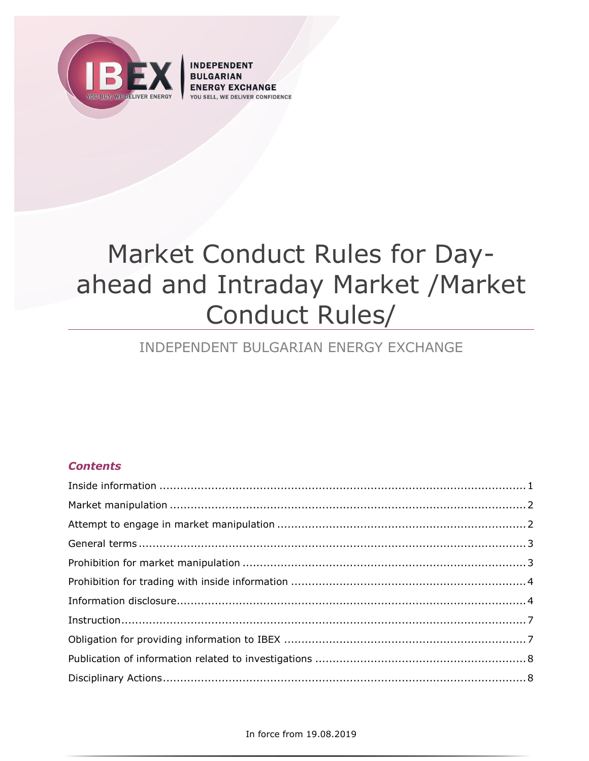

**INDEPENDENT** CHANGE **VER CONFIDENCE** 

# Market Conduct Rules for Dayahead and Intraday Market / Market Conduct Rules/

# INDEPENDENT BULGARIAN ENERGY EXCHANGE

# **Contents**

#### In force from 19.08.2019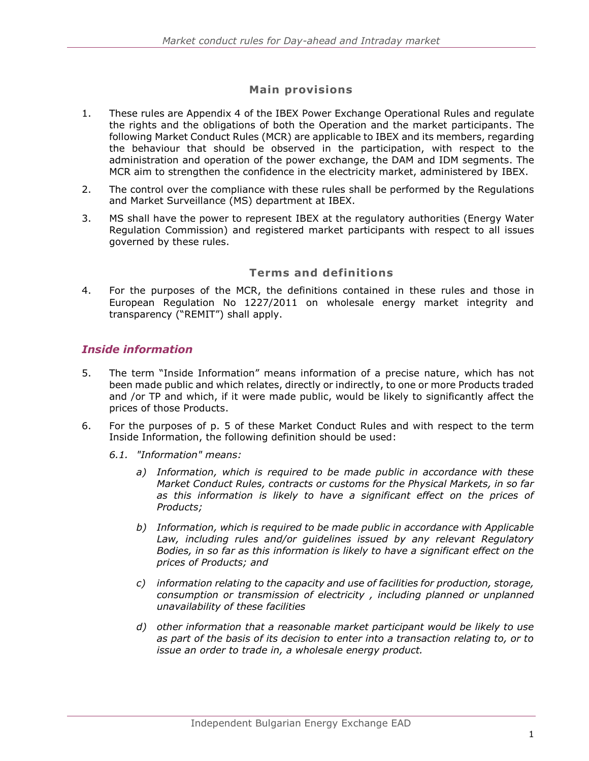## **Main provisions**

- 1. These rules are Appendix 4 of the IBEX Power Exchange Operational Rules and regulate the rights and the obligations of both the Operation and the market participants. The following Market Conduct Rules (MCR) are applicable to IBEX and its members, regarding the behaviour that should be observed in the participation, with respect to the administration and operation of the power exchange, the DAM and IDM segments. The MCR aim to strengthen the confidence in the electricity market, administered by IBEX.
- 2. The control over the compliance with these rules shall be performed by the Regulations and Market Surveillance (MS) department at IBEX.
- 3. MS shall have the power to represent IBEX at the regulatory authorities (Energy Water Regulation Commission) and registered market participants with respect to all issues governed by these rules.

#### **Terms and definitions**

4. For the purposes of the MCR, the definitions contained in these rules and those in European Regulation No 1227/2011 on wholesale energy market integrity and transparency ("REMIT") shall apply.

#### <span id="page-1-0"></span>*Inside information*

- 5. The term "Inside Information" means information of a precise nature, which has not been made public and which relates, directly or indirectly, to one or more Products traded and /or TP and which, if it were made public, would be likely to significantly affect the prices of those Products.
- 6. For the purposes of p. 5 of these Market Conduct Rules and with respect to the term Inside Information, the following definition should be used:
	- *6.1. "Information" means:*
		- *a) Information, which is required to be made public in accordance with these Market Conduct Rules, contracts or customs for the Physical Markets, in so far as this information is likely to have a significant effect on the prices of Products;*
		- *b) Information, which is required to be made public in accordance with Applicable*  Law, including rules and/or guidelines issued by any relevant Regulatory *Bodies, in so far as this information is likely to have a significant effect on the prices of Products; and*
		- *c) information relating to the capacity and use of facilities for production, storage, consumption or transmission of electricity , including planned or unplanned unavailability of these facilities*
		- *d) other information that a reasonable market participant would be likely to use as part of the basis of its decision to enter into a transaction relating to, or to issue an order to trade in, a wholesale energy product.*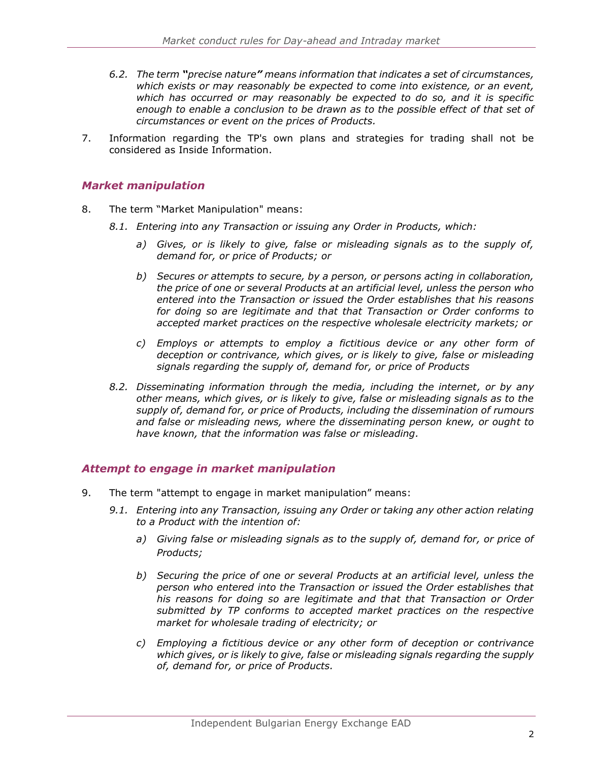- *6.2. The term "precise nature" means information that indicates a set of circumstances, which exists or may reasonably be expected to come into existence, or an event, which has occurred or may reasonably be expected to do so, and it is specific enough to enable a conclusion to be drawn as to the possible effect of that set of circumstances or event on the prices of Products.*
- 7. Information regarding the TP's own plans and strategies for trading shall not be considered as Inside Information.

## <span id="page-2-0"></span>*Market manipulation*

- 8. The term "Market Manipulation" means:
	- *8.1. Entering into any Transaction or issuing any Order in Products, which:*
		- *a) Gives, or is likely to give, false or misleading signals as to the supply of, demand for, or price of Products; or*
		- *b) Secures or attempts to secure, by a person, or persons acting in collaboration, the price of one or several Products at an artificial level, unless the person who entered into the Transaction or issued the Order establishes that his reasons for doing so are legitimate and that that Transaction or Order conforms to accepted market practices on the respective wholesale electricity markets; or*
		- *c) Employs or attempts to employ a fictitious device or any other form of deception or contrivance, which gives, or is likely to give, false or misleading signals regarding the supply of, demand for, or price of Products*
	- *8.2. Disseminating information through the media, including the internet, or by any other means, which gives, or is likely to give, false or misleading signals as to the supply of, demand for, or price of Products, including the dissemination of rumours and false or misleading news, where the disseminating person knew, or ought to have known, that the information was false or misleading.*

#### <span id="page-2-1"></span>*Attempt to engage in market manipulation*

- 9. The term "attempt to engage in market manipulation" means:
	- *9.1. Entering into any Transaction, issuing any Order or taking any other action relating to a Product with the intention of:*
		- *a) Giving false or misleading signals as to the supply of, demand for, or price of Products;*
		- *b) Securing the price of one or several Products at an artificial level, unless the person who entered into the Transaction or issued the Order establishes that his reasons for doing so are legitimate and that that Transaction or Order submitted by TP conforms to accepted market practices on the respective market for wholesale trading of electricity; or*
		- *c) Employing a fictitious device or any other form of deception or contrivance which gives, or is likely to give, false or misleading signals regarding the supply of, demand for, or price of Products.*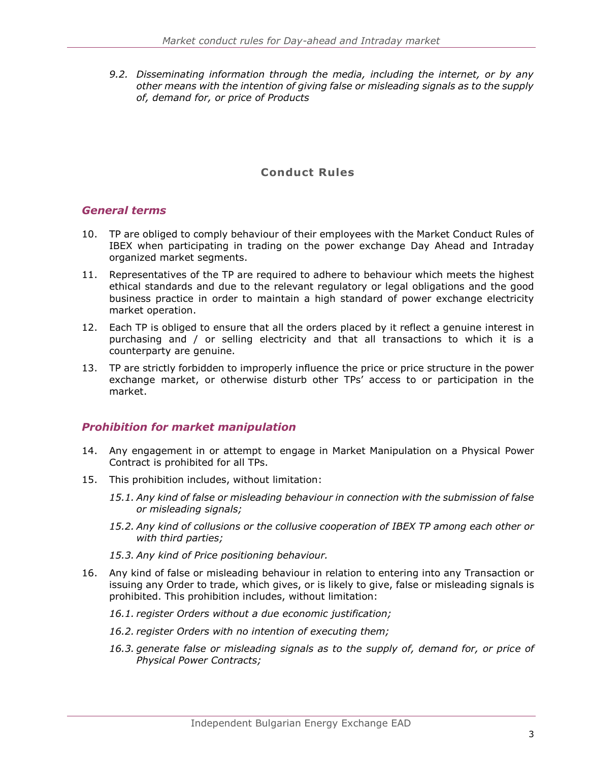*9.2. Disseminating information through the media, including the internet, or by any other means with the intention of giving false or misleading signals as to the supply of, demand for, or price of Products*

# **Conduct Rules**

#### <span id="page-3-0"></span>*General terms*

- 10. TP are obliged to comply behaviour of their employees with the Market Conduct Rules of IBEX when participating in trading on the power exchange Day Ahead and Intraday organized market segments.
- 11. Representatives of the TP are required to adhere to behaviour which meets the highest ethical standards and due to the relevant regulatory or legal obligations and the good business practice in order to maintain a high standard of power exchange electricity market operation.
- 12. Each TP is obliged to ensure that all the orders placed by it reflect a genuine interest in purchasing and / or selling electricity and that all transactions to which it is a counterparty are genuine.
- 13. TP are strictly forbidden to improperly influence the price or price structure in the power exchange market, or otherwise disturb other TPs' access to or participation in the market.

#### <span id="page-3-1"></span>*Prohibition for market manipulation*

- 14. Any engagement in or attempt to engage in Market Manipulation on a Physical Power Contract is prohibited for all TPs.
- 15. This prohibition includes, without limitation:
	- *15.1. Any kind of false or misleading behaviour in connection with the submission of false or misleading signals;*
	- *15.2. Any kind of collusions or the collusive cooperation of IBEX TP among each other or with third parties;*
	- *15.3. Any kind of Price positioning behaviour.*
- 16. Any kind of false or misleading behaviour in relation to entering into any Transaction or issuing any Order to trade, which gives, or is likely to give, false or misleading signals is prohibited. This prohibition includes, without limitation:
	- *16.1. register Orders without a due economic justification;*
	- *16.2. register Orders with no intention of executing them;*
	- *16.3. generate false or misleading signals as to the supply of, demand for, or price of Physical Power Contracts;*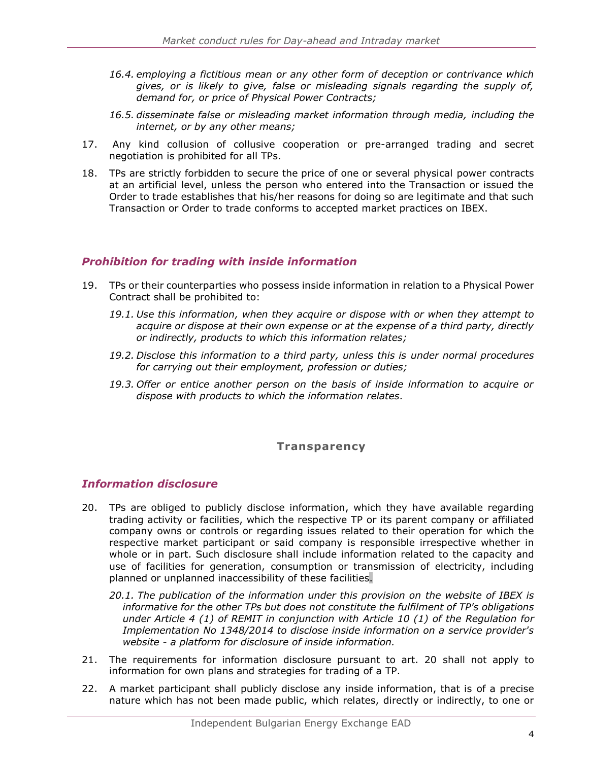- *16.4. employing a fictitious mean or any other form of deception or contrivance which gives, or is likely to give, false or misleading signals regarding the supply of, demand for, or price of Physical Power Contracts;*
- *16.5. disseminate false or misleading market information through media, including the internet, or by any other means;*
- 17. Any kind collusion of collusive cooperation or pre-arranged trading and secret negotiation is prohibited for all TPs.
- 18. TPs are strictly forbidden to secure the price of one or several physical power contracts at an artificial level, unless the person who entered into the Transaction or issued the Order to trade establishes that his/her reasons for doing so are legitimate and that such Transaction or Order to trade conforms to accepted market practices on IBEX.

#### <span id="page-4-0"></span>*Prohibition for trading with inside information*

- 19. TPs or their counterparties who possess inside information in relation to a Physical Power Contract shall be prohibited to:
	- *19.1. Use this information, when they acquire or dispose with or when they attempt to acquire or dispose at their own expense or at the expense of a third party, directly or indirectly, products to which this information relates;*
	- *19.2. Disclose this information to a third party, unless this is under normal procedures for carrying out their employment, profession or duties;*
	- *19.3. Offer or entice another person on the basis of inside information to acquire or dispose with products to which the information relates.*

#### **Transparency**

#### <span id="page-4-1"></span>*Information disclosure*

- 20. TPs are obliged to publicly disclose information, which they have available regarding trading activity or facilities, which the respective TP or its parent company or affiliated company owns or controls or regarding issues related to their operation for which the respective market participant or said company is responsible irrespective whether in whole or in part. Such disclosure shall include information related to the capacity and use of facilities for generation, consumption or transmission of electricity, including planned or unplanned inaccessibility of these facilities.
	- *20.1. The publication of the information under this provision on the website of IBEX is informative for the other TPs but does not constitute the fulfilment of TP's obligations under Article 4 (1) of REMIT in conjunction with Article 10 (1) of the Regulation for Implementation No 1348/2014 to disclose inside information on a service provider's website - a platform for disclosure of inside information.*
- 21. The requirements for information disclosure pursuant to art. 20 shall not apply to information for own plans and strategies for trading of a TP.
- 22. A market participant shall publicly disclose any inside information, that is of a precise nature which has not been made public, which relates, directly or indirectly, to one or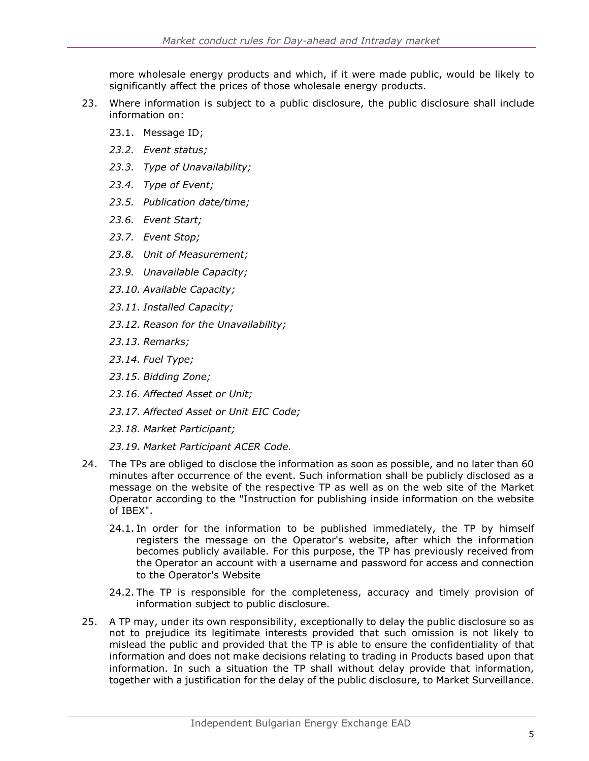more wholesale energy products and which, if it were made public, would be likely to significantly affect the prices of those wholesale energy products.

- 23. Where information is subject to a public disclosure, the public disclosure shall include information on:
	- 23.1. Message ID;
	- *23.2. Event status;*
	- *23.3. Type of Unavailability;*
	- *23.4. Type of Event;*
	- *23.5. Publication date/time;*
	- *23.6. Event Start;*
	- *23.7. Event Stop;*
	- *23.8. Unit of Measurement;*
	- *23.9. Unavailable Capacity;*
	- *23.10. Available Capacity;*
	- *23.11. Installed Capacity;*
	- *23.12. Reason for the Unavailability;*
	- *23.13. Remarks;*
	- *23.14. Fuel Type;*
	- *23.15. Bidding Zone;*
	- *23.16. Affected Asset or Unit;*
	- *23.17. Affected Asset or Unit EIC Code;*
	- *23.18. Market Participant;*
	- *23.19. Market Participant ACER Code.*
- 24. The TPs are obliged to disclose the information as soon as possible, and no later than 60 minutes after occurrence of the event. Such information shall be publicly disclosed as a message on the website of the respective TP as well as on the web site of the Market Operator according to the "Instruction for publishing inside information on the website of IBEX".
	- 24.1. In order for the information to be published immediately, the TP by himself registers the message on the Operator's website, after which the information becomes publicly available. For this purpose, the TP has previously received from the Operator an account with a username and password for access and connection to the Operator's Website
	- 24.2. The TP is responsible for the completeness, accuracy and timely provision of information subject to public disclosure.
- 25. A TP may, under its own responsibility, exceptionally to delay the public disclosure so as not to prejudice its legitimate interests provided that such omission is not likely to mislead the public and provided that the TP is able to ensure the confidentiality of that information and does not make decisions relating to trading in Products based upon that information. In such a situation the TP shall without delay provide that information, together with a justification for the delay of the public disclosure, to Market Surveillance.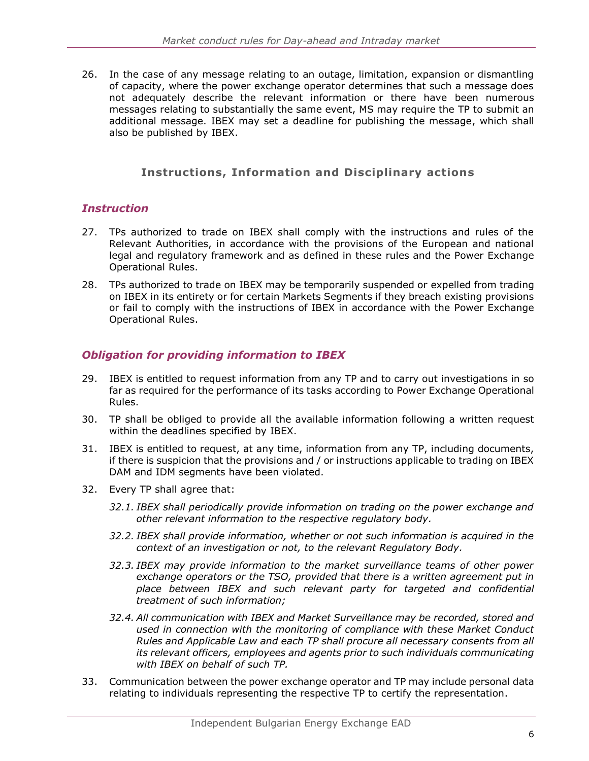26. In the case of any message relating to an outage, limitation, expansion or dismantling of capacity, where the power exchange operator determines that such a message does not adequately describe the relevant information or there have been numerous messages relating to substantially the same event, MS may require the TP to submit an additional message. IBEX may set a deadline for publishing the message, which shall also be published by IBEX.

# **Instructions, Information and Disciplinary actions**

#### <span id="page-6-0"></span>*Instruction*

- 27. TPs authorized to trade on IBEX shall comply with the instructions and rules of the Relevant Authorities, in accordance with the provisions of the European and national legal and regulatory framework and as defined in these rules and the Power Exchange Operational Rules.
- 28. TPs authorized to trade on IBEX may be temporarily suspended or expelled from trading on IBEX in its entirety or for certain Markets Segments if they breach existing provisions or fail to comply with the instructions of IBEX in accordance with the Power Exchange Operational Rules.

# <span id="page-6-1"></span>*Obligation for providing information to IBEX*

- 29. IBEX is entitled to request information from any TP and to carry out investigations in so far as required for the performance of its tasks according to Power Exchange Operational Rules.
- 30. TP shall be obliged to provide all the available information following a written request within the deadlines specified by IBEX.
- 31. IBEX is entitled to request, at any time, information from any TP, including documents, if there is suspicion that the provisions and / or instructions applicable to trading on IBEX DAM and IDM segments have been violated.
- 32. Every TP shall agree that:
	- *32.1. IBEX shall periodically provide information on trading on the power exchange and other relevant information to the respective regulatory body.*
	- *32.2. IBEX shall provide information, whether or not such information is acquired in the context of an investigation or not, to the relevant Regulatory Body.*
	- *32.3. IBEX may provide information to the market surveillance teams of other power exchange operators or the TSO, provided that there is a written agreement put in place between IBEX and such relevant party for targeted and confidential treatment of such information;*
	- *32.4. All communication with IBEX and Market Surveillance may be recorded, stored and used in connection with the monitoring of compliance with these Market Conduct Rules and Applicable Law and each TP shall procure all necessary consents from all its relevant officers, employees and agents prior to such individuals communicating with IBEX on behalf of such TP.*
- 33. Communication between the power exchange operator and TP may include personal data relating to individuals representing the respective TP to certify the representation.